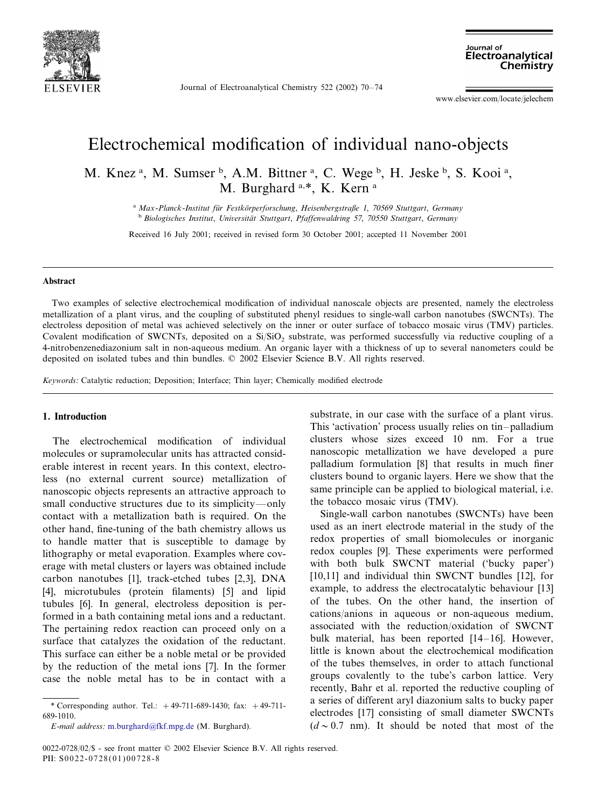

Journal of Electroanalytical Chemistry 522 (2002) 70–74

Journal of Electroanalytical Chemistry

www.elsevier.com/locate/jelechem

# Electrochemical modification of individual nano-objects

M. Knez<sup>a</sup>, M. Sumser<sup>b</sup>, A.M. Bittner<sup>a</sup>, C. Wege<sup>b</sup>, H. Jeske<sup>b</sup>, S. Kooi<sup>a</sup>, M. Burghard<sup>a,\*</sup>, K. Kern<sup>a</sup>

> <sup>a</sup> *Max*-*Planck*-*Institut fu¨r Festko¨rperforschung*, *Heisenbergstraße* <sup>1</sup>, <sup>70569</sup> *Stuttgart*, *Germany* <sup>b</sup> *Biologisches Institut*, *Uniersita¨t Stuttgart*, *Pfaffenwaldring* <sup>57</sup>, <sup>70550</sup> *Stuttgart*, *Germany*

Received 16 July 2001; received in revised form 30 October 2001; accepted 11 November 2001

## **Abstract**

Two examples of selective electrochemical modification of individual nanoscale objects are presented, namely the electroless metallization of a plant virus, and the coupling of substituted phenyl residues to single-wall carbon nanotubes (SWCNTs). The electroless deposition of metal was achieved selectively on the inner or outer surface of tobacco mosaic virus (TMV) particles. Covalent modification of SWCNTs, deposited on a Si/SiO<sub>2</sub> substrate, was performed successfully via reductive coupling of a 4-nitrobenzenediazonium salt in non-aqueous medium. An organic layer with a thickness of up to several nanometers could be deposited on isolated tubes and thin bundles. © 2002 Elsevier Science B.V. All rights reserved.

*Keywords*: Catalytic reduction; Deposition; Interface; Thin layer; Chemically modified electrode

#### **1. Introduction**

The electrochemical modification of individual molecules or supramolecular units has attracted considerable interest in recent years. In this context, electroless (no external current source) metallization of nanoscopic objects represents an attractive approach to small conductive structures due to its simplicity—only contact with a metallization bath is required. On the other hand, fine-tuning of the bath chemistry allows us to handle matter that is susceptible to damage by lithography or metal evaporation. Examples where coverage with metal clusters or layers was obtained include carbon nanotubes [1], track-etched tubes [2,3], DNA [4], microtubules (protein filaments) [5] and lipid tubules [6]. In general, electroless deposition is performed in a bath containing metal ions and a reductant. The pertaining redox reaction can proceed only on a surface that catalyzes the oxidation of the reductant. This surface can either be a noble metal or be provided by the reduction of the metal ions [7]. In the former case the noble metal has to be in contact with a

*E*-*mail address*: [m.burghard@fkf.mpg.de](mailto:m.burghard@fkf.mpg.de) (M. Burghard).

substrate, in our case with the surface of a plant virus. This 'activation' process usually relies on tin–palladium clusters whose sizes exceed 10 nm. For a true nanoscopic metallization we have developed a pure palladium formulation [8] that results in much finer clusters bound to organic layers. Here we show that the same principle can be applied to biological material, i.e. the tobacco mosaic virus (TMV).

Single-wall carbon nanotubes (SWCNTs) have been used as an inert electrode material in the study of the redox properties of small biomolecules or inorganic redox couples [9]. These experiments were performed with both bulk SWCNT material ('bucky paper') [10,11] and individual thin SWCNT bundles [12], for example, to address the electrocatalytic behaviour [13] of the tubes. On the other hand, the insertion of cations/anions in aqueous or non-aqueous medium, associated with the reduction/oxidation of SWCNT bulk material, has been reported [14–16]. However, little is known about the electrochemical modification of the tubes themselves, in order to attach functional groups covalently to the tube's carbon lattice. Very recently, Bahr et al. reported the reductive coupling of a series of different aryl diazonium salts to bucky paper electrodes [17] consisting of small diameter SWCNTs  $(d \sim 0.7$  nm). It should be noted that most of the

<sup>\*</sup> Corresponding author. Tel.: +49-711-689-1430; fax: +49-711- 689-1010.

<sup>0022-0728</sup>/02/\$ - see front matter © 2002 Elsevier Science B.V. All rights reserved. PII:  $S0022 - 0728(01)00728 - 8$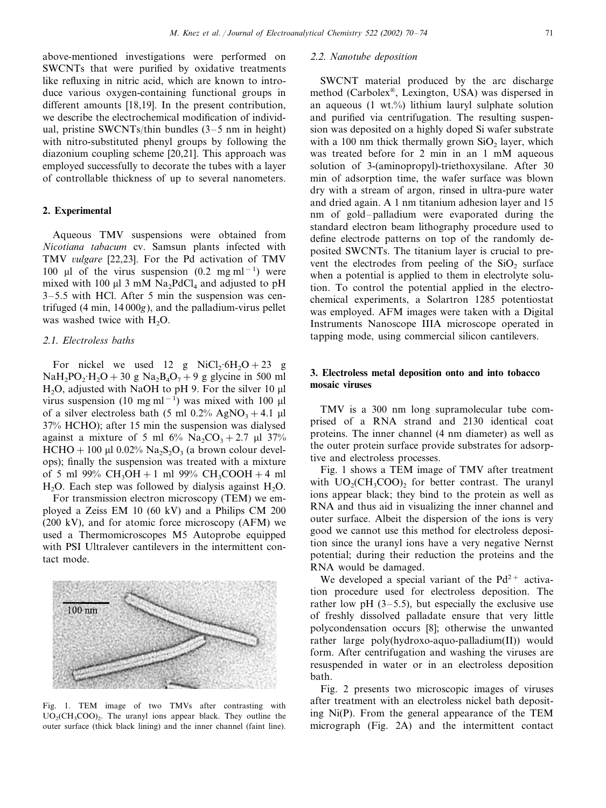above-mentioned investigations were performed on SWCNTs that were purified by oxidative treatments like refluxing in nitric acid, which are known to introduce various oxygen-containing functional groups in different amounts [18,19]. In the present contribution, we describe the electrochemical modification of individual, pristine SWCNTs/thin bundles (3–5 nm in height) with nitro-substituted phenyl groups by following the diazonium coupling scheme [20,21]. This approach was employed successfully to decorate the tubes with a layer of controllable thickness of up to several nanometers.

#### **2. Experimental**

Aqueous TMV suspensions were obtained from *Nicotiana tabacum* cv. Samsun plants infected with TMV *ulgare* [22,23]. For the Pd activation of TMV 100 μl of the virus suspension  $(0.2 \text{ mg ml}^{-1})$  were mixed with 100  $\mu$ l 3 mM Na<sub>2</sub>PdCl<sub>4</sub> and adjusted to pH 3–5.5 with HCl. After 5 min the suspension was centrifuged (4 min, 14 000*g*), and the palladium-virus pellet was washed twice with  $H_2O$ .

## <sup>2</sup>.1. *Electroless baths*

For nickel we used 12 g NiCl<sub>2</sub>·6H<sub>2</sub>O + 23 g  $NaH<sub>2</sub>PO<sub>2</sub>·H<sub>2</sub>O + 30 g Na<sub>2</sub>B<sub>4</sub>O<sub>7</sub> + 9 g glycine in 500 ml$ H<sub>2</sub>O, adjusted with NaOH to pH 9. For the silver 10  $\mu$ l virus suspension (10 mg ml<sup>-1</sup>) was mixed with 100 µl of a silver electroless bath (5 ml  $0.2\%$  AgNO<sub>3</sub> + 4.1 µl 37% HCHO); after 15 min the suspension was dialysed against a mixture of 5 ml  $6\%$  Na<sub>2</sub>CO<sub>3</sub> + 2.7 µl 37% HCHO + 100 µl 0.02% Na<sub>2</sub>S<sub>2</sub>O<sub>3</sub> (a brown colour develops); finally the suspension was treated with a mixture of 5 ml 99%  $CH_3OH + 1$  ml 99%  $CH_3COOH + 4$  ml  $H_2O$ . Each step was followed by dialysis against  $H_2O$ .

For transmission electron microscopy (TEM) we employed a Zeiss EM 10 (60 kV) and a Philips CM 200 (200 kV), and for atomic force microscopy (AFM) we used a Thermomicroscopes M5 Autoprobe equipped with PSI Ultralever cantilevers in the intermittent contact mode.



Fig. 1. TEM image of two TMVs after contrasting with  $UO<sub>2</sub>(CH<sub>3</sub>COO)$ <sub>2</sub>. The uranyl ions appear black. They outline the outer surface (thick black lining) and the inner channel (faint line).

#### <sup>2</sup>.2. *Nanotube deposition*

SWCNT material produced by the arc discharge method (Carbolex®, Lexington, USA) was dispersed in an aqueous  $(1 \text{ wt.})$  lithium lauryl sulphate solution and purified via centrifugation. The resulting suspension was deposited on a highly doped Si wafer substrate with a  $100$  nm thick thermally grown SiO<sub>2</sub> layer, which was treated before for 2 min in an 1 mM aqueous solution of 3-(aminopropyl)-triethoxysilane. After 30 min of adsorption time, the wafer surface was blown dry with a stream of argon, rinsed in ultra-pure water and dried again. A 1 nm titanium adhesion layer and 15 nm of gold–palladium were evaporated during the standard electron beam lithography procedure used to define electrode patterns on top of the randomly deposited SWCNTs. The titanium layer is crucial to prevent the electrodes from peeling of the  $SiO<sub>2</sub>$  surface when a potential is applied to them in electrolyte solution. To control the potential applied in the electrochemical experiments, a Solartron 1285 potentiostat was employed. AFM images were taken with a Digital Instruments Nanoscope IIIA microscope operated in tapping mode, using commercial silicon cantilevers.

## **3. Electroless metal deposition onto and into tobacco mosaic viruses**

TMV is a 300 nm long supramolecular tube comprised of a RNA strand and 2130 identical coat proteins. The inner channel (4 nm diameter) as well as the outer protein surface provide substrates for adsorptive and electroless processes.

Fig. 1 shows a TEM image of TMV after treatment with  $UO<sub>2</sub>(CH<sub>3</sub>COO)$ , for better contrast. The uranyl ions appear black; they bind to the protein as well as RNA and thus aid in visualizing the inner channel and outer surface. Albeit the dispersion of the ions is very good we cannot use this method for electroless deposition since the uranyl ions have a very negative Nernst potential; during their reduction the proteins and the RNA would be damaged.

We developed a special variant of the  $Pd^{2+}$  activation procedure used for electroless deposition. The rather low pH  $(3-5.5)$ , but especially the exclusive use of freshly dissolved palladate ensure that very little polycondensation occurs [8]; otherwise the unwanted rather large poly(hydroxo-aquo-palladium(II)) would form. After centrifugation and washing the viruses are resuspended in water or in an electroless deposition bath.

Fig. 2 presents two microscopic images of viruses after treatment with an electroless nickel bath depositing Ni(P). From the general appearance of the TEM micrograph (Fig. 2A) and the intermittent contact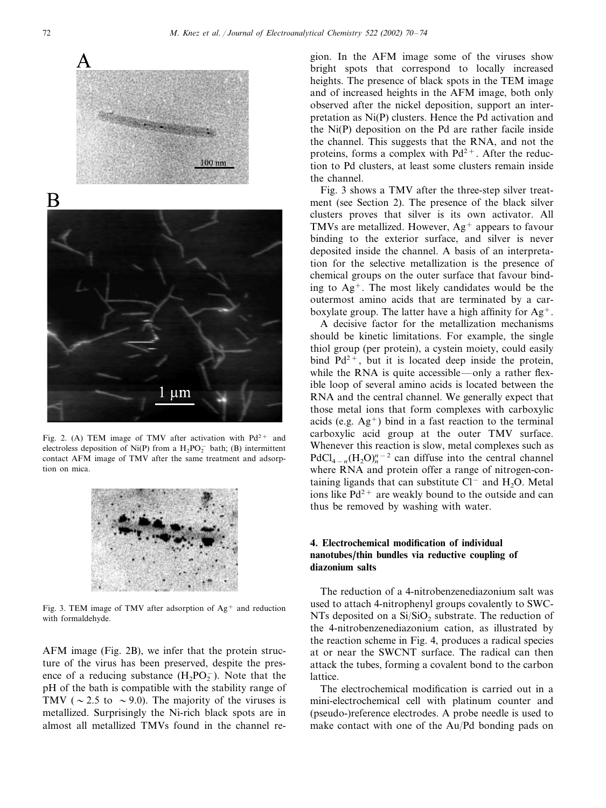

Fig. 2. (A) TEM image of TMV after activation with  $Pd^{2+}$  and electroless deposition of Ni(P) from a  $H_2PO_2^-$  bath; (B) intermittent contact AFM image of TMV after the same treatment and adsorption on mica.



Fig. 3. TEM image of TMV after adsorption of  $Ag^+$  and reduction with formaldehyde.

AFM image (Fig. 2B), we infer that the protein structure of the virus has been preserved, despite the presence of a reducing substance  $(H_2PO_2^-)$ . Note that the pH of the bath is compatible with the stability range of TMV ( $\sim$  2.5 to  $\sim$  9.0). The majority of the viruses is metallized. Surprisingly the Ni-rich black spots are in almost all metallized TMVs found in the channel region. In the AFM image some of the viruses show bright spots that correspond to locally increased heights. The presence of black spots in the TEM image and of increased heights in the AFM image, both only observed after the nickel deposition, support an interpretation as Ni(P) clusters. Hence the Pd activation and the Ni(P) deposition on the Pd are rather facile inside the channel. This suggests that the RNA, and not the proteins, forms a complex with  $Pd^{2+}$ . After the reduction to Pd clusters, at least some clusters remain inside the channel.

Fig. 3 shows a TMV after the three-step silver treatment (see Section 2). The presence of the black silver clusters proves that silver is its own activator. All TMVs are metallized. However,  $Ag^+$  appears to favour binding to the exterior surface, and silver is never deposited inside the channel. A basis of an interpretation for the selective metallization is the presence of chemical groups on the outer surface that favour binding to  $Ag^+$ . The most likely candidates would be the outermost amino acids that are terminated by a carboxylate group. The latter have a high affinity for  $Ag^+$ .

A decisive factor for the metallization mechanisms should be kinetic limitations. For example, the single thiol group (per protein), a cystein moiety, could easily bind  $Pd^{2+}$ , but it is located deep inside the protein, while the RNA is quite accessible—only a rather flexible loop of several amino acids is located between the RNA and the central channel. We generally expect that those metal ions that form complexes with carboxylic acids (e.g.  $Ag^+$ ) bind in a fast reaction to the terminal carboxylic acid group at the outer TMV surface. Whenever this reaction is slow, metal complexes such as  $PdCl_{4-n}(H_2O)_n^{n-2}$  can diffuse into the central channel where RNA and protein offer a range of nitrogen-containing ligands that can substitute  $Cl^-$  and  $H_2O$ . Metal ions like  $Pd^{2+}$  are weakly bound to the outside and can thus be removed by washing with water.

# **4. Electrochemical modification of individual nanotubes**/**thin bundles via reductive coupling of diazonium salts**

The reduction of a 4-nitrobenzenediazonium salt was used to attach 4-nitrophenyl groups covalently to SWC-NTs deposited on a  $Si/SiO<sub>2</sub>$  substrate. The reduction of the 4-nitrobenzenediazonium cation, as illustrated by the reaction scheme in Fig. 4, produces a radical species at or near the SWCNT surface. The radical can then attack the tubes, forming a covalent bond to the carbon lattice.

The electrochemical modification is carried out in a mini-electrochemical cell with platinum counter and (pseudo-)reference electrodes. A probe needle is used to make contact with one of the Au/Pd bonding pads on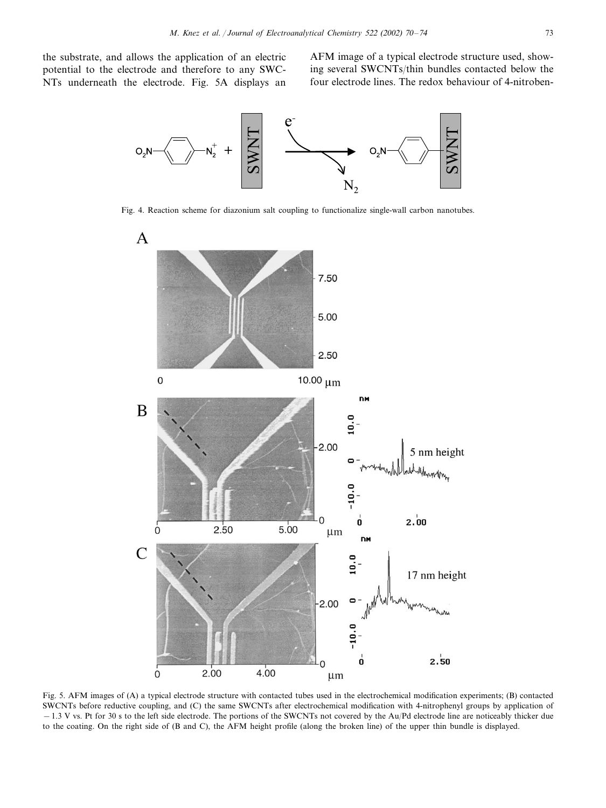the substrate, and allows the application of an electric potential to the electrode and therefore to any SWC-NTs underneath the electrode. Fig. 5A displays an AFM image of a typical electrode structure used, showing several SWCNTs/thin bundles contacted below the four electrode lines. The redox behaviour of 4-nitroben-



Fig. 4. Reaction scheme for diazonium salt coupling to functionalize single-wall carbon nanotubes.



Fig. 5. AFM images of (A) a typical electrode structure with contacted tubes used in the electrochemical modification experiments; (B) contacted SWCNTs before reductive coupling, and (C) the same SWCNTs after electrochemical modification with 4-nitrophenyl groups by application of −1.3 V vs. Pt for 30 s to the left side electrode. The portions of the SWCNTs not covered by the Au/Pd electrode line are noticeably thicker due to the coating. On the right side of (B and C), the AFM height profile (along the broken line) of the upper thin bundle is displayed.